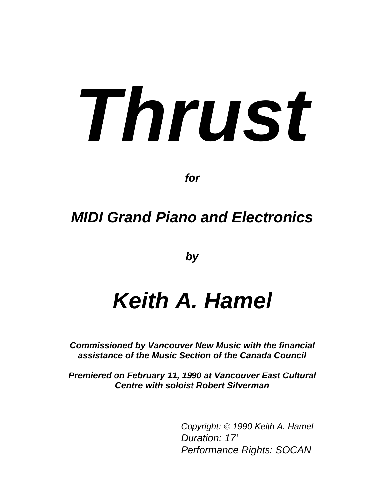# *Thrust*

*for*

## *MIDI Grand Piano and Electronics*

*by*

# *Keith A. Hamel*

*Commissioned by Vancouver New Music with the financial assistance of the Music Section of the Canada Council*

*Premiered on February 11, 1990 at Vancouver East Cultural Centre with soloist Robert Silverman*

> *Copyright: 1990 Keith A. Hamel Duration: 17' Performance Rights: SOCAN*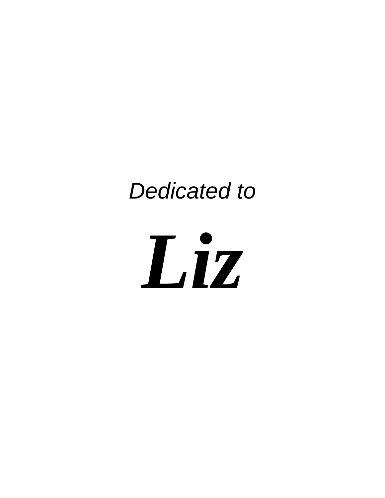# *Dedicated to*

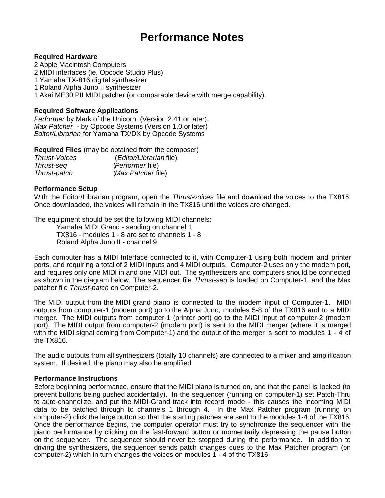### **Performance Notes**

#### **Required Hardware**

2 Apple Macintosh Computers 2 MIDI interfaces (ie. Opcode Studio Plus) 1 Yamaha TX-816 digital synthesizer 1 Roland Alpha Juno II synthesizer 1 Akai ME30 PII MIDI patcher (or comparable device with merge capability).

#### **Required Software Applications**

*Performer* by Mark of the Unicorn (Version 2.41 or later). *Max Patcher* - by Opcode Systems (Version 1.0 or later) *Editor/Librarian* for Yamaha TX/DX by Opcode Systems

**Required Files** (may be obtained from the composer)

| <b>Thrust-Voices</b> | (Editor/Librarian file) |
|----------------------|-------------------------|
| Thrust-seq           | (Performer file)        |
| Thrust-patch         | (Max Patcher file)      |

#### **Performance Setup**

With the Editor/Librarian program, open the *Thrust-voices* file and download the voices to the TX816. Once downloaded, the voices will remain in the TX816 until the voices are changed.

The equipment should be set the following MIDI channels:

Yamaha MIDI Grand - sending on channel 1 TX816 - modules 1 - 8 are set to channels 1 - 8 Roland Alpha Juno II - channel 9

Each computer has a MIDI Interface connected to it, with Computer-1 using both modem and printer ports, and requiring a total of 2 MIDI inputs and 4 MIDI outputs. Computer-2 uses only the modem port, and requires only one MIDI in and one MIDI out. The synthesizers and computers should be connected as shown in the diagram below. The sequencer file *Thrust-seq* is loaded on Computer-1, and the Max patcher file *Thrust-patch* on Computer-2.

The MIDI output from the MIDI grand piano is connected to the modem input of Computer-1. MIDI outputs from computer-1 (modem port) go to the Alpha Juno, modules 5-8 of the TX816 and to a MIDI merger. The MIDI outputs from computer-1 (printer port) go to the MIDI input of computer-2 (modem port). The MIDI output from computer-2 (modem port) is sent to the MIDI merger (where it is merged with the MIDI signal coming from Computer-1) and the output of the merger is sent to modules 1 - 4 of the TX816.

The audio outputs from all synthesizers (totally 10 channels) are connected to a mixer and amplification system. If desired, the piano may also be amplified.

#### **Performance Instructions**

Before beginning performance, ensure that the MIDI piano is turned on, and that the panel is locked (to prevent buttons being pushed accidentally). In the sequencer (running on computer-1) set Patch-Thru to auto-channelize, and put the MIDI-Grand track into record mode - this causes the incoming MIDI data to be patched through to channels 1 through 4. In the Max Patcher program (running on computer-2) click the large button so that the starting patches are sent to the modules 1-4 of the TX816. Once the performance begins, the computer operator must try to synchronize the sequencer with the piano performance by clicking on the fast-forward button or momentarily depressing the pause button on the sequencer. The sequencer should never be stopped during the performance. In addition to driving the synthesizers, the sequencer sends patch changes cues to the Max Patcher program (on computer-2) which in turn changes the voices on modules 1 - 4 of the TX816.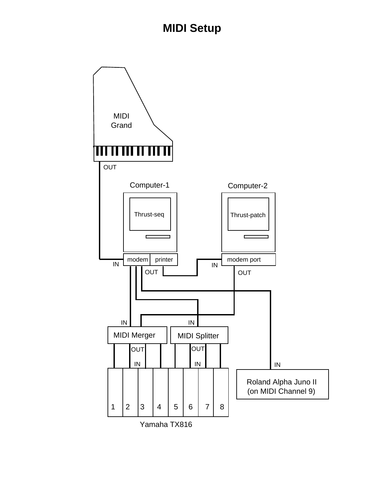## **MIDI Setup**

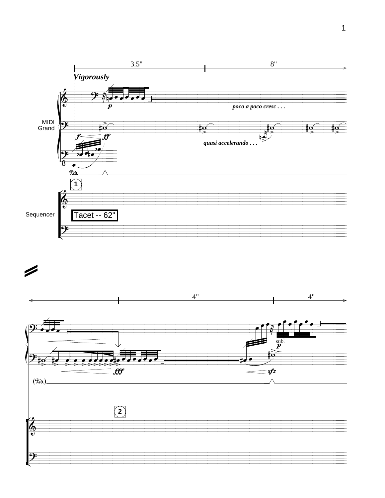

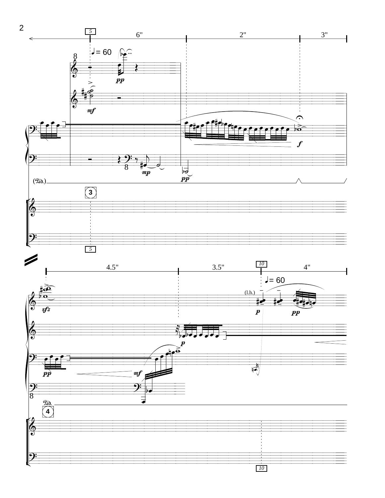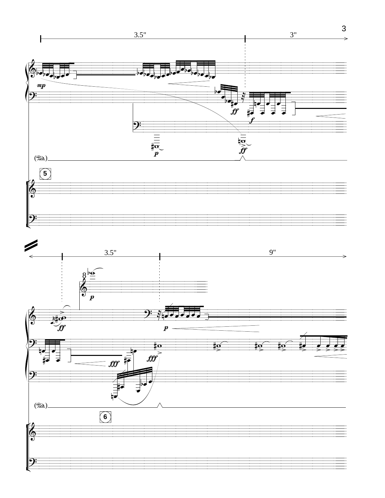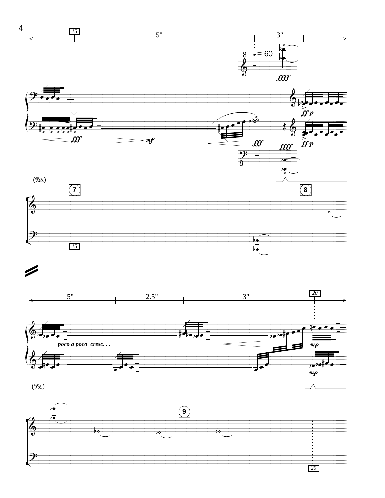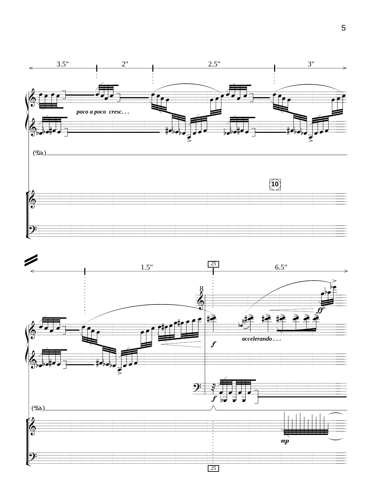

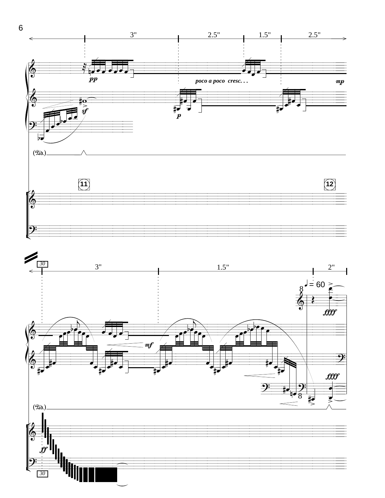



 $\,$  6  $\,$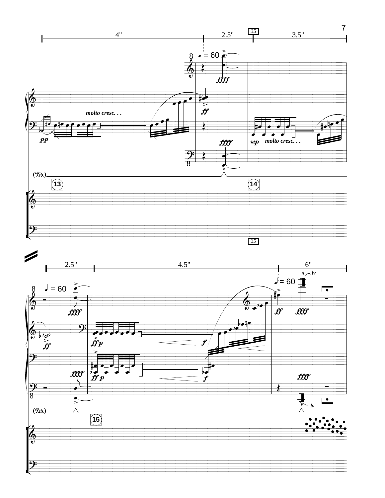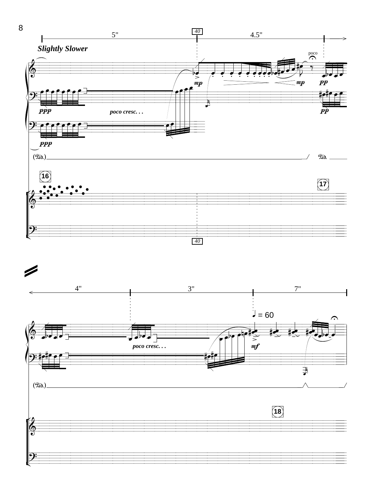

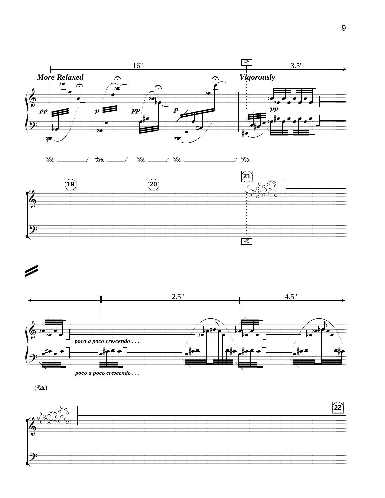

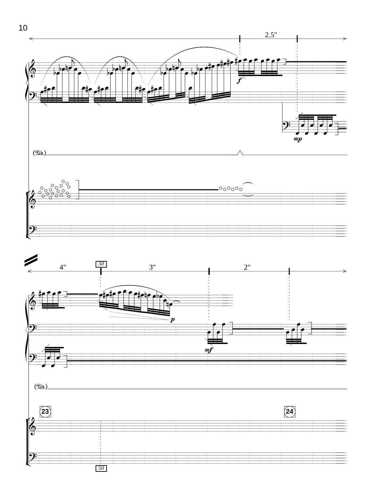

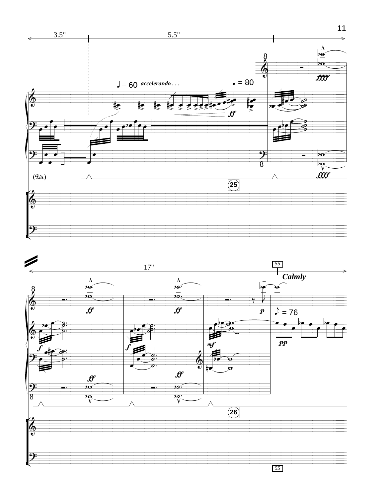

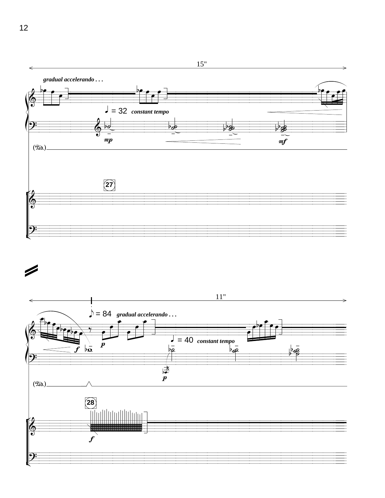

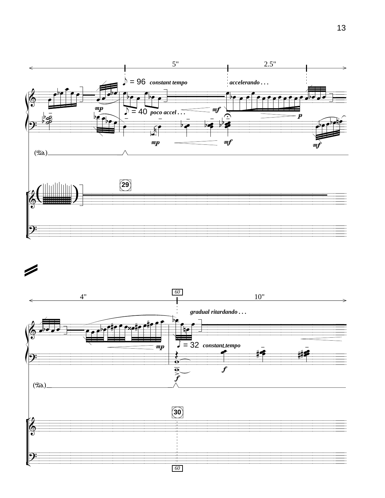

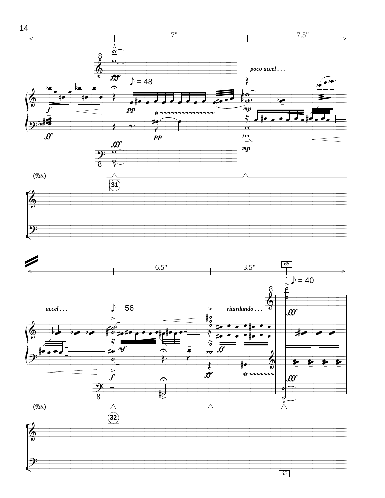

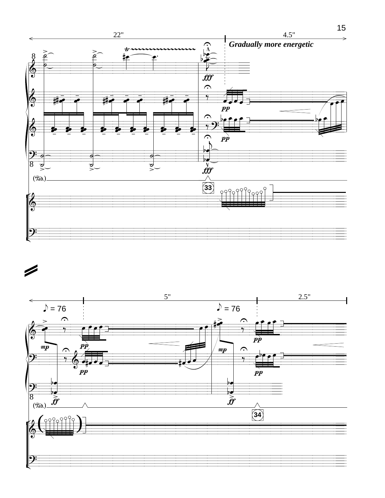



15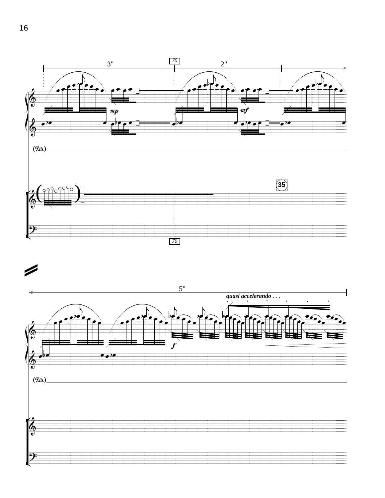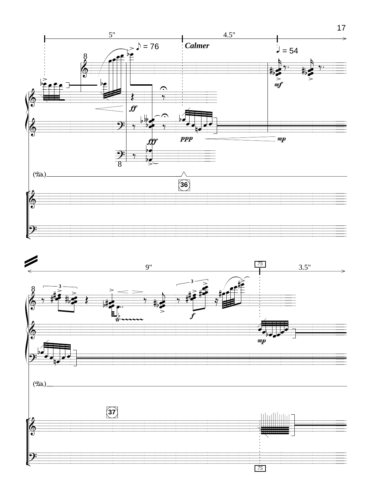

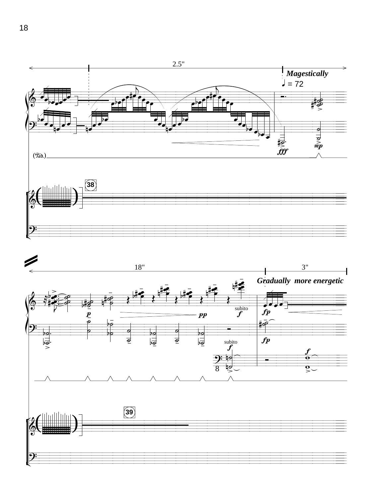

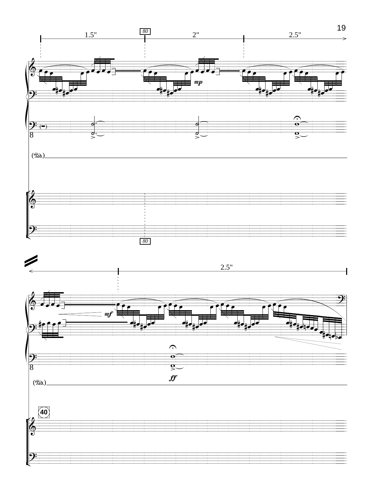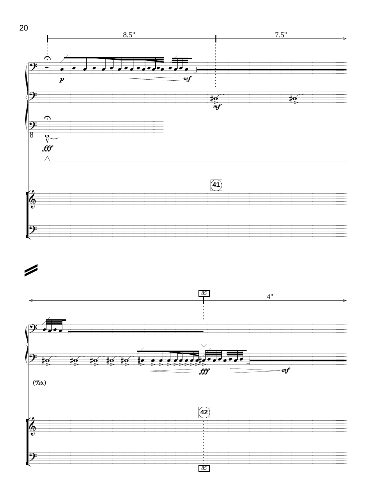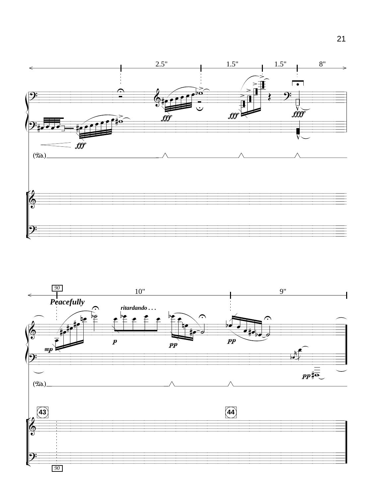

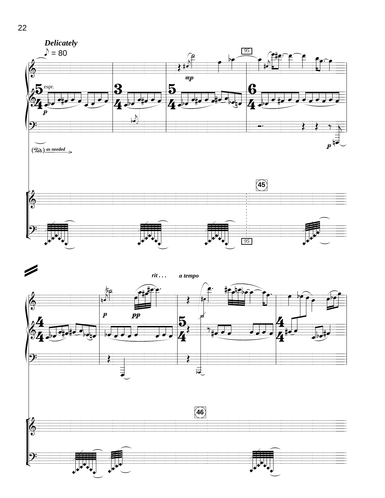

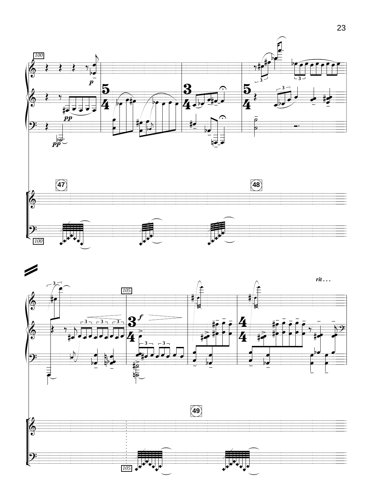



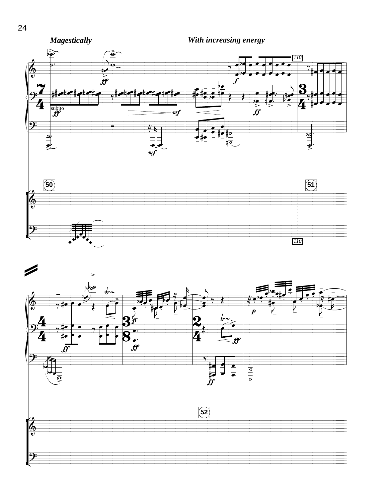With increasing energy





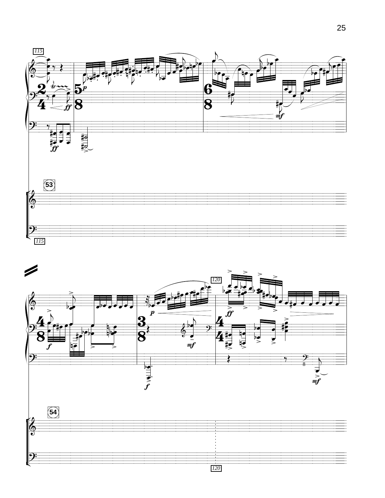

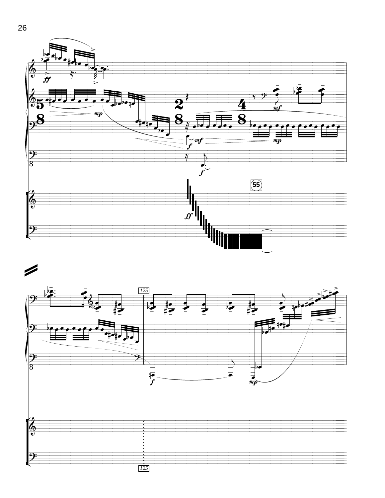

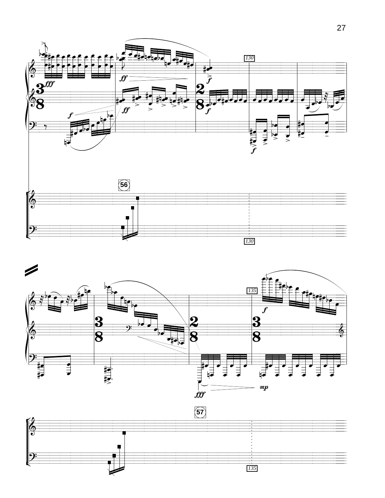



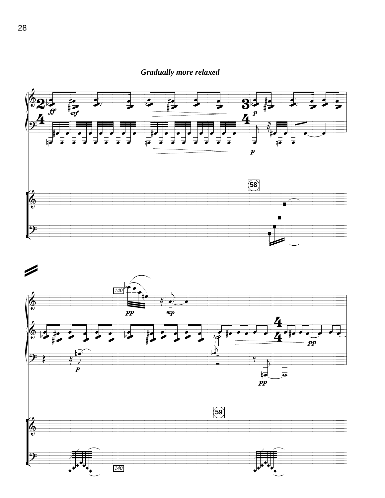*Gradually more relaxed*

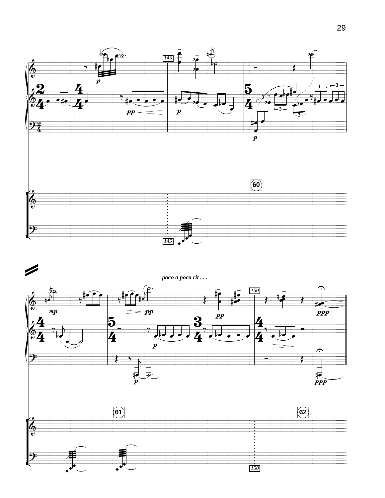



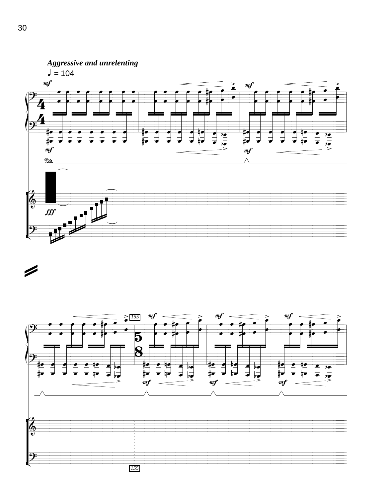

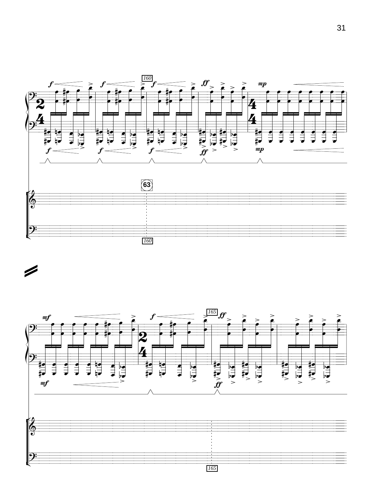

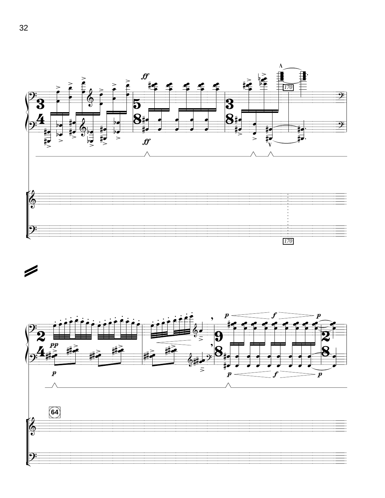



 $\boxed{64}$ 

**SOP**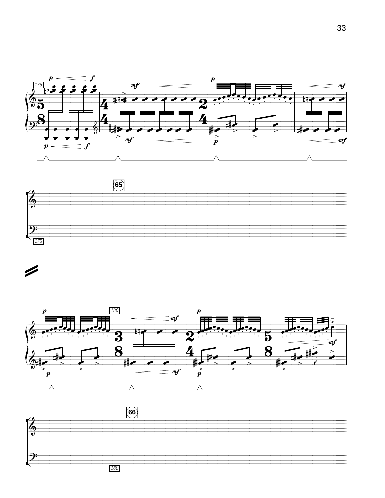

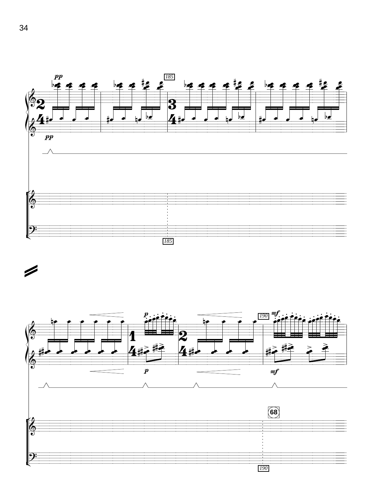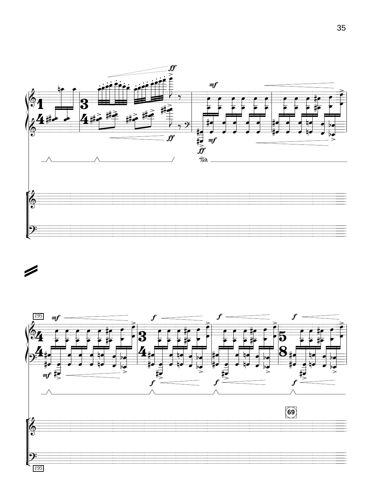

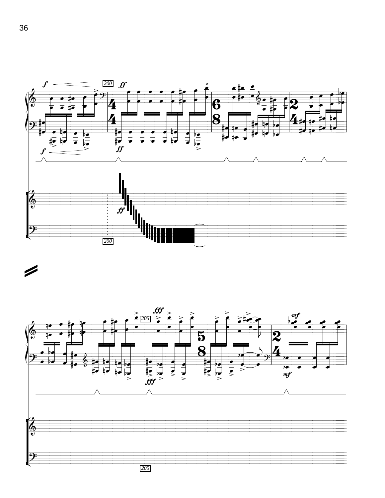

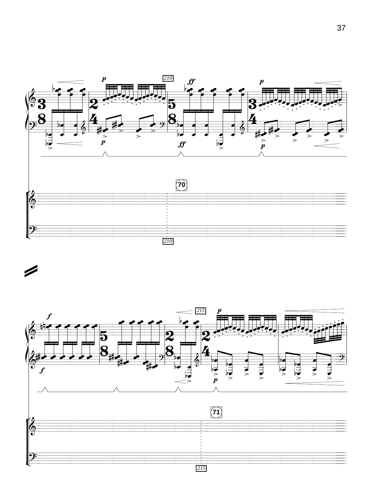

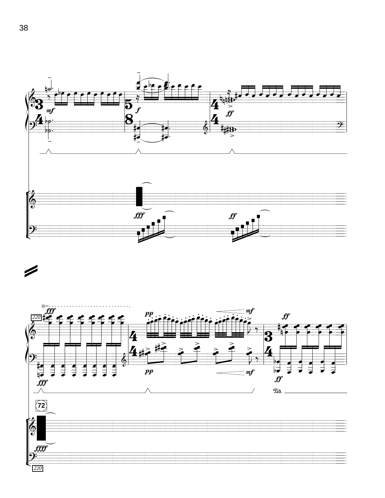

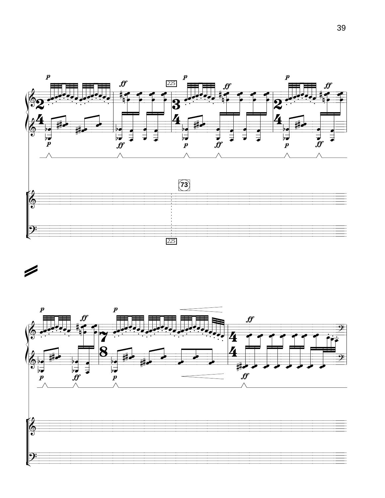

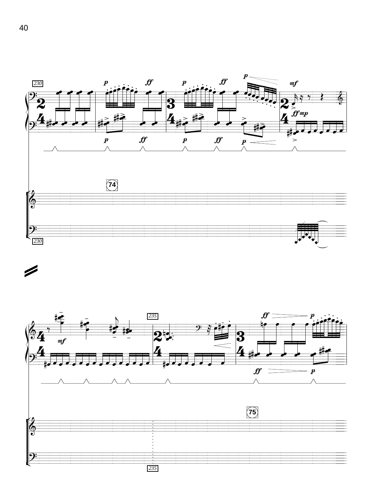



 $\overline{\phantom{a}}$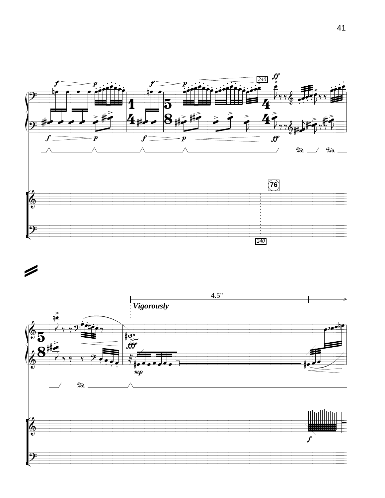

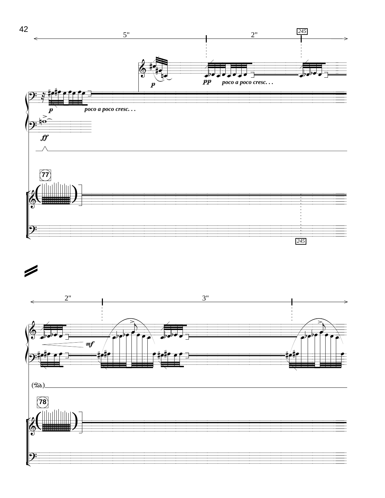

42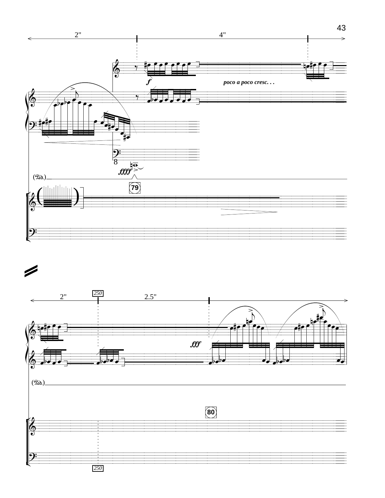

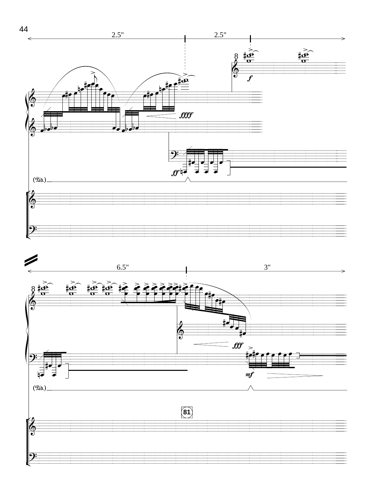

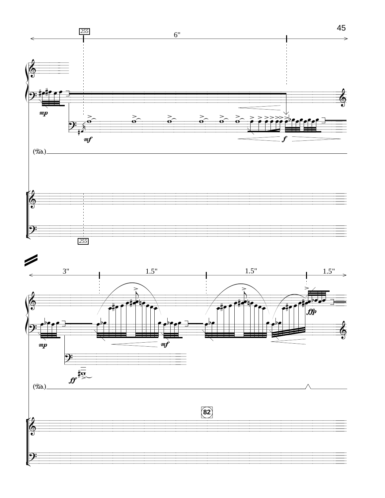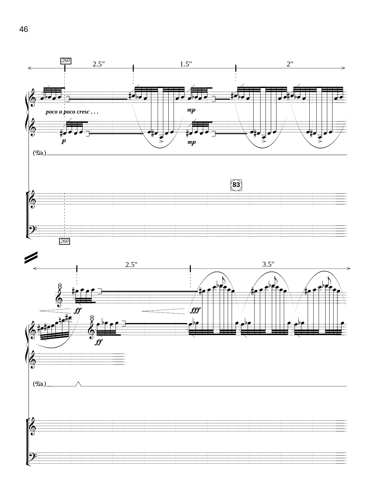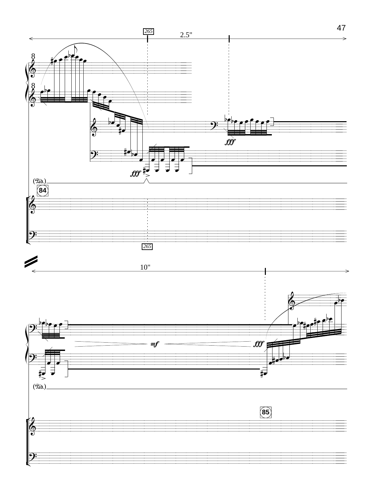